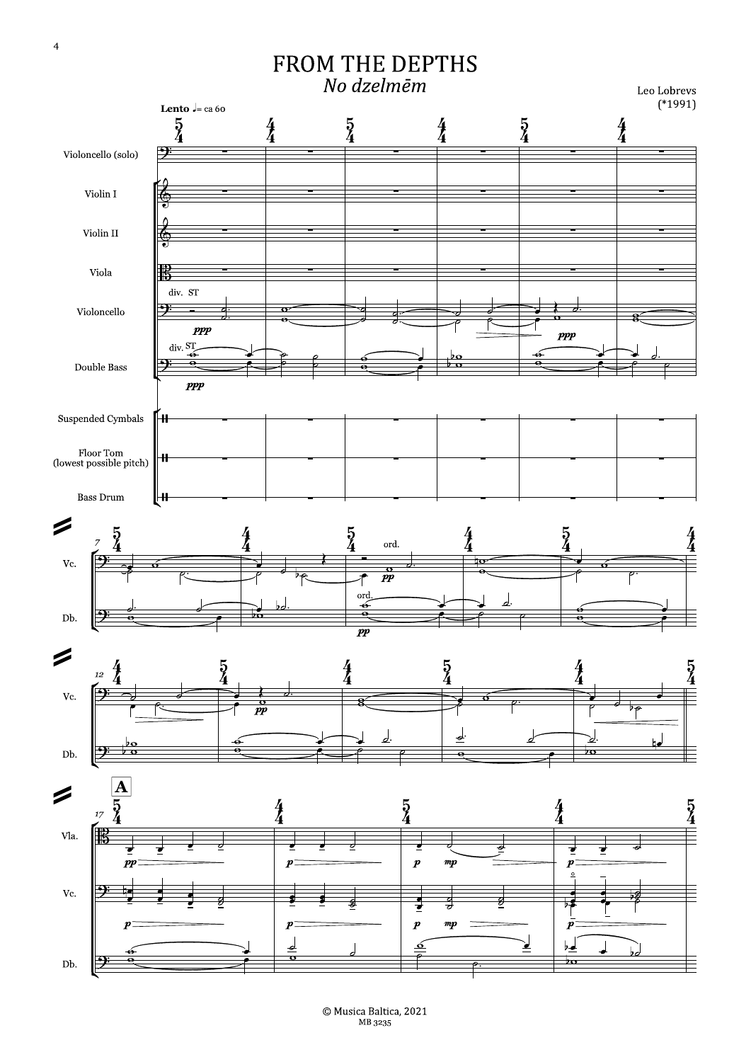## FROM THE DEPTHS No dzelmēm